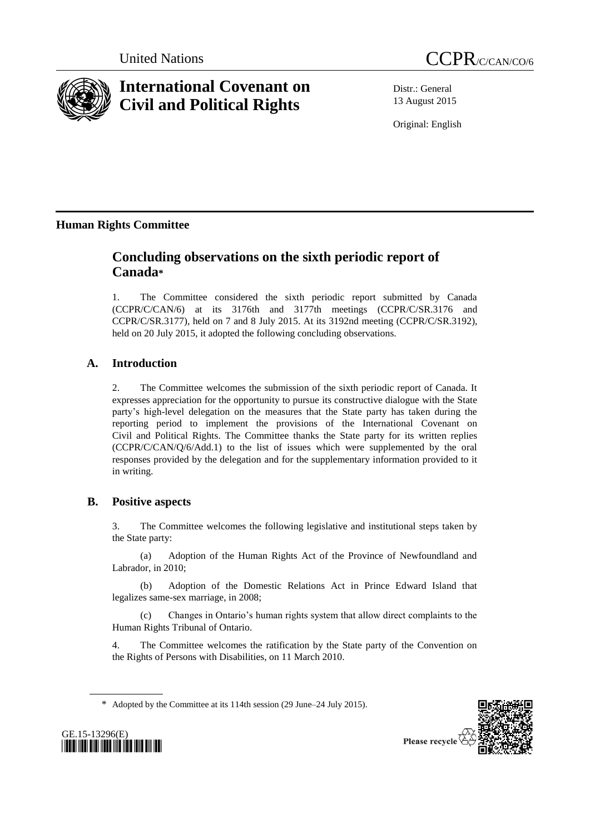



# **International Covenant on Civil and Political Rights**

Distr.: General 13 August 2015

Original: English

# **Human Rights Committee**

# **Concluding observations on the sixth periodic report of Canada\***

1. The Committee considered the sixth periodic report submitted by Canada (CCPR/C/CAN/6) at its 3176th and 3177th meetings (CCPR/C/SR.3176 and CCPR/C/SR.3177), held on 7 and 8 July 2015. At its 3192nd meeting (CCPR/C/SR.3192), held on 20 July 2015, it adopted the following concluding observations.

# **A. Introduction**

2. The Committee welcomes the submission of the sixth periodic report of Canada. It expresses appreciation for the opportunity to pursue its constructive dialogue with the State party's high-level delegation on the measures that the State party has taken during the reporting period to implement the provisions of the International Covenant on Civil and Political Rights. The Committee thanks the State party for its written replies (CCPR/C/CAN/Q/6/Add.1) to the list of issues which were supplemented by the oral responses provided by the delegation and for the supplementary information provided to it in writing.

## **B. Positive aspects**

3. The Committee welcomes the following legislative and institutional steps taken by the State party:

(a) Adoption of the Human Rights Act of the Province of Newfoundland and Labrador, in 2010;

(b) Adoption of the Domestic Relations Act in Prince Edward Island that legalizes same-sex marriage, in 2008;

(c) Changes in Ontario's human rights system that allow direct complaints to the Human Rights Tribunal of Ontario.

4. The Committee welcomes the ratification by the State party of the Convention on the Rights of Persons with Disabilities, on 11 March 2010.

\* Adopted by the Committee at its 114th session (29 June–24 July 2015).



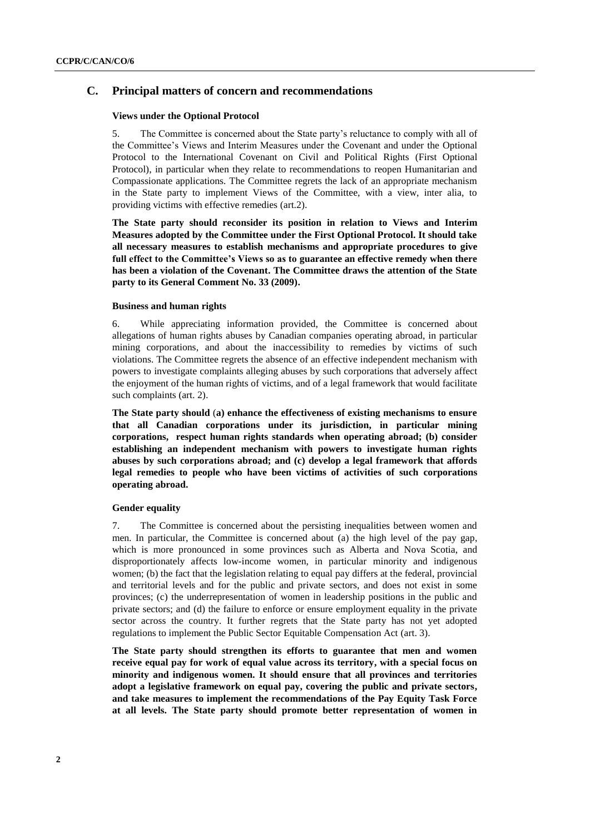### **C. Principal matters of concern and recommendations**

#### **Views under the Optional Protocol**

5. The Committee is concerned about the State party's reluctance to comply with all of the Committee's Views and Interim Measures under the Covenant and under the Optional Protocol to the International Covenant on Civil and Political Rights (First Optional Protocol), in particular when they relate to recommendations to reopen Humanitarian and Compassionate applications. The Committee regrets the lack of an appropriate mechanism in the State party to implement Views of the Committee, with a view, inter alia, to providing victims with effective remedies (art.2).

**The State party should reconsider its position in relation to Views and Interim Measures adopted by the Committee under the First Optional Protocol. It should take all necessary measures to establish mechanisms and appropriate procedures to give full effect to the Committee's Views so as to guarantee an effective remedy when there has been a violation of the Covenant. The Committee draws the attention of the State party to its General Comment No. 33 (2009).** 

#### **Business and human rights**

6. While appreciating information provided, the Committee is concerned about allegations of human rights abuses by Canadian companies operating abroad, in particular mining corporations, and about the inaccessibility to remedies by victims of such violations. The Committee regrets the absence of an effective independent mechanism with powers to investigate complaints alleging abuses by such corporations that adversely affect the enjoyment of the human rights of victims, and of a legal framework that would facilitate such complaints (art. 2).

**The State party should** (**a) enhance the effectiveness of existing mechanisms to ensure that all Canadian corporations under its jurisdiction, in particular mining corporations, respect human rights standards when operating abroad; (b) consider establishing an independent mechanism with powers to investigate human rights abuses by such corporations abroad; and (c) develop a legal framework that affords legal remedies to people who have been victims of activities of such corporations operating abroad.**

#### **Gender equality**

7. The Committee is concerned about the persisting inequalities between women and men. In particular, the Committee is concerned about (a) the high level of the pay gap, which is more pronounced in some provinces such as Alberta and Nova Scotia, and disproportionately affects low-income women, in particular minority and indigenous women; (b) the fact that the legislation relating to equal pay differs at the federal, provincial and territorial levels and for the public and private sectors, and does not exist in some provinces; (c) the underrepresentation of women in leadership positions in the public and private sectors; and (d) the failure to enforce or ensure employment equality in the private sector across the country. It further regrets that the State party has not yet adopted regulations to implement the Public Sector Equitable Compensation Act (art. 3).

**The State party should strengthen its efforts to guarantee that men and women receive equal pay for work of equal value across its territory, with a special focus on minority and indigenous women. It should ensure that all provinces and territories adopt a legislative framework on equal pay, covering the public and private sectors, and take measures to implement the recommendations of the Pay Equity Task Force at all levels. The State party should promote better representation of women in**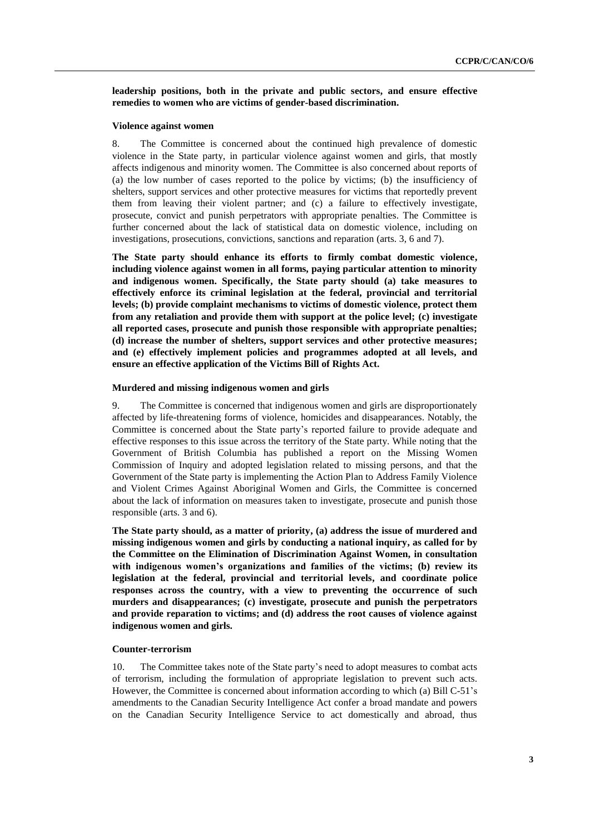**leadership positions, both in the private and public sectors, and ensure effective remedies to women who are victims of gender-based discrimination.**

#### **Violence against women**

8. The Committee is concerned about the continued high prevalence of domestic violence in the State party, in particular violence against women and girls, that mostly affects indigenous and minority women. The Committee is also concerned about reports of (a) the low number of cases reported to the police by victims; (b) the insufficiency of shelters, support services and other protective measures for victims that reportedly prevent them from leaving their violent partner; and (c) a failure to effectively investigate, prosecute, convict and punish perpetrators with appropriate penalties. The Committee is further concerned about the lack of statistical data on domestic violence, including on investigations, prosecutions, convictions, sanctions and reparation (arts. 3, 6 and 7).

**The State party should enhance its efforts to firmly combat domestic violence, including violence against women in all forms, paying particular attention to minority and indigenous women. Specifically, the State party should (a) take measures to effectively enforce its criminal legislation at the federal, provincial and territorial levels; (b) provide complaint mechanisms to victims of domestic violence, protect them from any retaliation and provide them with support at the police level; (c) investigate all reported cases, prosecute and punish those responsible with appropriate penalties; (d) increase the number of shelters, support services and other protective measures; and (e) effectively implement policies and programmes adopted at all levels, and ensure an effective application of the Victims Bill of Rights Act.** 

#### **Murdered and missing indigenous women and girls**

9. The Committee is concerned that indigenous women and girls are disproportionately affected by life-threatening forms of violence, homicides and disappearances. Notably, the Committee is concerned about the State party's reported failure to provide adequate and effective responses to this issue across the territory of the State party. While noting that the Government of British Columbia has published a report on the Missing Women Commission of Inquiry and adopted legislation related to missing persons, and that the Government of the State party is implementing the Action Plan to Address Family Violence and Violent Crimes Against Aboriginal Women and Girls, the Committee is concerned about the lack of information on measures taken to investigate, prosecute and punish those responsible (arts. 3 and 6).

**The State party should, as a matter of priority, (a) address the issue of murdered and missing indigenous women and girls by conducting a national inquiry, as called for by the Committee on the Elimination of Discrimination Against Women, in consultation with indigenous women's organizations and families of the victims; (b) review its legislation at the federal, provincial and territorial levels, and coordinate police responses across the country, with a view to preventing the occurrence of such murders and disappearances; (c) investigate, prosecute and punish the perpetrators and provide reparation to victims; and (d) address the root causes of violence against indigenous women and girls.** 

#### **Counter-terrorism**

10. The Committee takes note of the State party's need to adopt measures to combat acts of terrorism, including the formulation of appropriate legislation to prevent such acts. However, the Committee is concerned about information according to which (a) Bill C-51's amendments to the Canadian Security Intelligence Act confer a broad mandate and powers on the Canadian Security Intelligence Service to act domestically and abroad, thus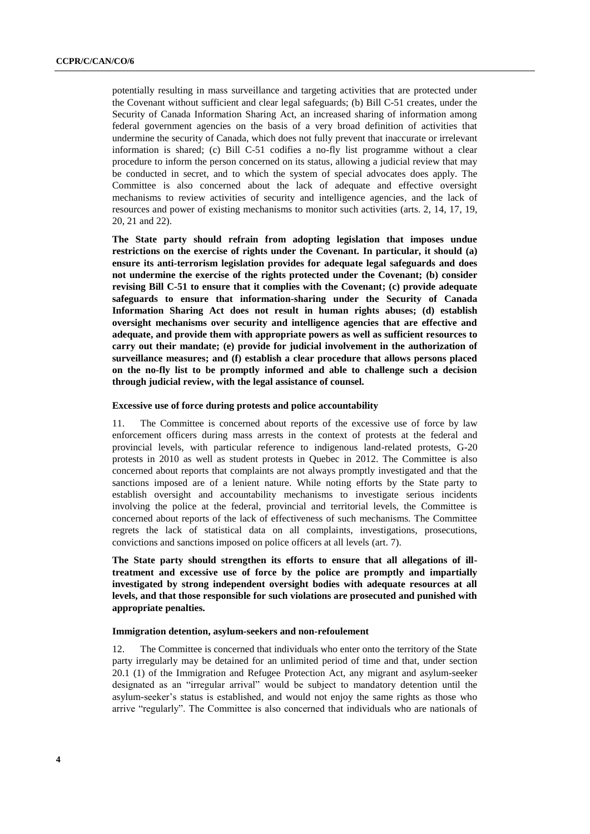potentially resulting in mass surveillance and targeting activities that are protected under the Covenant without sufficient and clear legal safeguards; (b) Bill C-51 creates, under the Security of Canada Information Sharing Act, an increased sharing of information among federal government agencies on the basis of a very broad definition of activities that undermine the security of Canada, which does not fully prevent that inaccurate or irrelevant information is shared; (c) Bill C-51 codifies a no-fly list programme without a clear procedure to inform the person concerned on its status, allowing a judicial review that may be conducted in secret, and to which the system of special advocates does apply. The Committee is also concerned about the lack of adequate and effective oversight mechanisms to review activities of security and intelligence agencies, and the lack of resources and power of existing mechanisms to monitor such activities (arts. 2, 14, 17, 19, 20, 21 and 22).

**The State party should refrain from adopting legislation that imposes undue restrictions on the exercise of rights under the Covenant. In particular, it should (a) ensure its anti-terrorism legislation provides for adequate legal safeguards and does not undermine the exercise of the rights protected under the Covenant; (b) consider revising Bill C-51 to ensure that it complies with the Covenant; (c) provide adequate safeguards to ensure that information-sharing under the Security of Canada Information Sharing Act does not result in human rights abuses; (d) establish oversight mechanisms over security and intelligence agencies that are effective and adequate, and provide them with appropriate powers as well as sufficient resources to carry out their mandate; (e) provide for judicial involvement in the authorization of surveillance measures; and (f) establish a clear procedure that allows persons placed on the no-fly list to be promptly informed and able to challenge such a decision through judicial review, with the legal assistance of counsel.**

#### **Excessive use of force during protests and police accountability**

11. The Committee is concerned about reports of the excessive use of force by law enforcement officers during mass arrests in the context of protests at the federal and provincial levels, with particular reference to indigenous land-related protests, G-20 protests in 2010 as well as student protests in Quebec in 2012. The Committee is also concerned about reports that complaints are not always promptly investigated and that the sanctions imposed are of a lenient nature. While noting efforts by the State party to establish oversight and accountability mechanisms to investigate serious incidents involving the police at the federal, provincial and territorial levels, the Committee is concerned about reports of the lack of effectiveness of such mechanisms. The Committee regrets the lack of statistical data on all complaints, investigations, prosecutions, convictions and sanctions imposed on police officers at all levels (art. 7).

**The State party should strengthen its efforts to ensure that all allegations of illtreatment and excessive use of force by the police are promptly and impartially investigated by strong independent oversight bodies with adequate resources at all levels, and that those responsible for such violations are prosecuted and punished with appropriate penalties.** 

#### **Immigration detention, asylum-seekers and non-refoulement**

12. The Committee is concerned that individuals who enter onto the territory of the State party irregularly may be detained for an unlimited period of time and that, under section 20.1 (1) of the Immigration and Refugee Protection Act, any migrant and asylum-seeker designated as an "irregular arrival" would be subject to mandatory detention until the asylum-seeker's status is established, and would not enjoy the same rights as those who arrive "regularly". The Committee is also concerned that individuals who are nationals of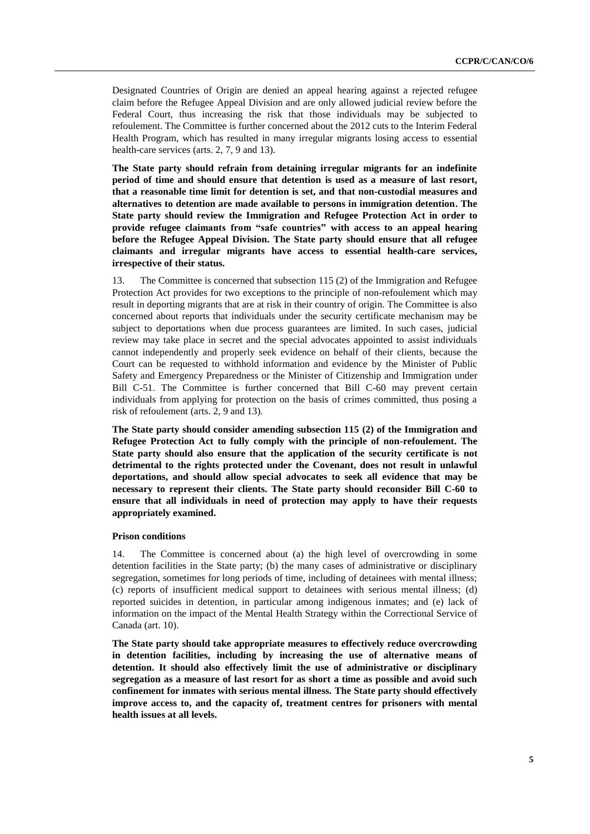Designated Countries of Origin are denied an appeal hearing against a rejected refugee claim before the Refugee Appeal Division and are only allowed judicial review before the Federal Court, thus increasing the risk that those individuals may be subjected to refoulement. The Committee is further concerned about the 2012 cuts to the Interim Federal Health Program, which has resulted in many irregular migrants losing access to essential health-care services (arts. 2, 7, 9 and 13).

**The State party should refrain from detaining irregular migrants for an indefinite period of time and should ensure that detention is used as a measure of last resort, that a reasonable time limit for detention is set, and that non-custodial measures and alternatives to detention are made available to persons in immigration detention. The State party should review the Immigration and Refugee Protection Act in order to provide refugee claimants from "safe countries" with access to an appeal hearing before the Refugee Appeal Division. The State party should ensure that all refugee claimants and irregular migrants have access to essential health-care services, irrespective of their status.**

13. The Committee is concerned that subsection 115 (2) of the Immigration and Refugee Protection Act provides for two exceptions to the principle of non-refoulement which may result in deporting migrants that are at risk in their country of origin. The Committee is also concerned about reports that individuals under the security certificate mechanism may be subject to deportations when due process guarantees are limited. In such cases, judicial review may take place in secret and the special advocates appointed to assist individuals cannot independently and properly seek evidence on behalf of their clients, because the Court can be requested to withhold information and evidence by the Minister of Public Safety and Emergency Preparedness or the Minister of Citizenship and Immigration under Bill C-51. The Committee is further concerned that Bill C-60 may prevent certain individuals from applying for protection on the basis of crimes committed, thus posing a risk of refoulement (arts. 2, 9 and 13)*.*

**The State party should consider amending subsection 115 (2) of the Immigration and Refugee Protection Act to fully comply with the principle of non-refoulement. The State party should also ensure that the application of the security certificate is not detrimental to the rights protected under the Covenant, does not result in unlawful deportations, and should allow special advocates to seek all evidence that may be necessary to represent their clients. The State party should reconsider Bill C-60 to ensure that all individuals in need of protection may apply to have their requests appropriately examined.**

#### **Prison conditions**

14. The Committee is concerned about (a) the high level of overcrowding in some detention facilities in the State party; (b) the many cases of administrative or disciplinary segregation, sometimes for long periods of time, including of detainees with mental illness; (c) reports of insufficient medical support to detainees with serious mental illness; (d) reported suicides in detention, in particular among indigenous inmates; and (e) lack of information on the impact of the Mental Health Strategy within the Correctional Service of Canada (art. 10).

**The State party should take appropriate measures to effectively reduce overcrowding in detention facilities, including by increasing the use of alternative means of detention. It should also effectively limit the use of administrative or disciplinary segregation as a measure of last resort for as short a time as possible and avoid such confinement for inmates with serious mental illness. The State party should effectively improve access to, and the capacity of, treatment centres for prisoners with mental health issues at all levels.**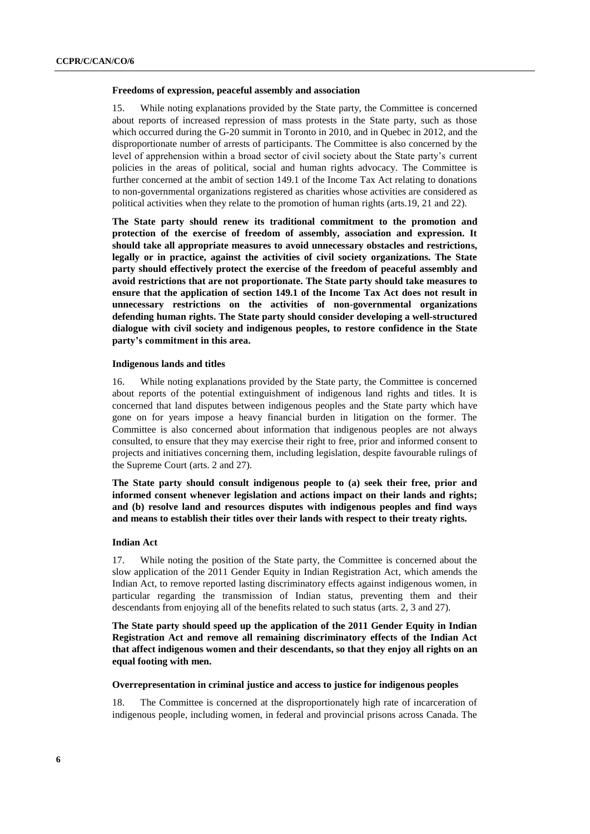#### **Freedoms of expression, peaceful assembly and association**

15. While noting explanations provided by the State party, the Committee is concerned about reports of increased repression of mass protests in the State party, such as those which occurred during the G-20 summit in Toronto in 2010, and in Quebec in 2012, and the disproportionate number of arrests of participants. The Committee is also concerned by the level of apprehension within a broad sector of civil society about the State party's current policies in the areas of political, social and human rights advocacy. The Committee is further concerned at the ambit of section 149.1 of the Income Tax Act relating to donations to non-governmental organizations registered as charities whose activities are considered as political activities when they relate to the promotion of human rights (arts.19, 21 and 22).

**The State party should renew its traditional commitment to the promotion and protection of the exercise of freedom of assembly, association and expression. It should take all appropriate measures to avoid unnecessary obstacles and restrictions, legally or in practice, against the activities of civil society organizations. The State party should effectively protect the exercise of the freedom of peaceful assembly and avoid restrictions that are not proportionate. The State party should take measures to ensure that the application of section 149.1 of the Income Tax Act does not result in unnecessary restrictions on the activities of non-governmental organizations defending human rights. The State party should consider developing a well-structured dialogue with civil society and indigenous peoples, to restore confidence in the State party's commitment in this area.**

#### **Indigenous lands and titles**

16. While noting explanations provided by the State party, the Committee is concerned about reports of the potential extinguishment of indigenous land rights and titles. It is concerned that land disputes between indigenous peoples and the State party which have gone on for years impose a heavy financial burden in litigation on the former. The Committee is also concerned about information that indigenous peoples are not always consulted, to ensure that they may exercise their right to free, prior and informed consent to projects and initiatives concerning them, including legislation, despite favourable rulings of the Supreme Court (arts. 2 and 27).

**The State party should consult indigenous people to (a) seek their free, prior and informed consent whenever legislation and actions impact on their lands and rights; and (b) resolve land and resources disputes with indigenous peoples and find ways and means to establish their titles over their lands with respect to their treaty rights.**

#### **Indian Act**

17. While noting the position of the State party, the Committee is concerned about the slow application of the 2011 Gender Equity in Indian Registration Act, which amends the Indian Act, to remove reported lasting discriminatory effects against indigenous women, in particular regarding the transmission of Indian status, preventing them and their descendants from enjoying all of the benefits related to such status (arts. 2, 3 and 27).

**The State party should speed up the application of the 2011 Gender Equity in Indian Registration Act and remove all remaining discriminatory effects of the Indian Act that affect indigenous women and their descendants, so that they enjoy all rights on an equal footing with men.**

#### **Overrepresentation in criminal justice and access to justice for indigenous peoples**

18. The Committee is concerned at the disproportionately high rate of incarceration of indigenous people, including women, in federal and provincial prisons across Canada. The